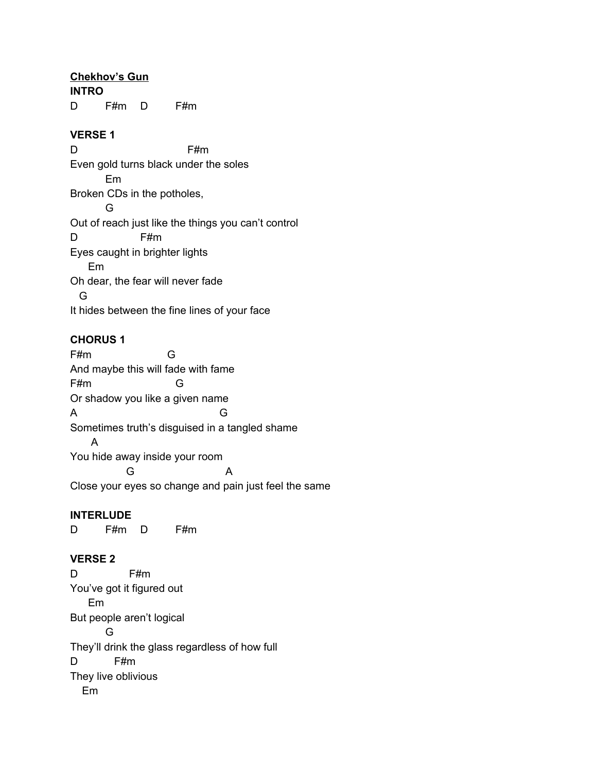### **Chekhov's Gun**

**INTRO**

D F#m D F#m

#### **VERSE 1**

D F#m Even gold turns black under the soles Em Broken CDs in the potholes, G Out of reach just like the things you can't control D F#m Eyes caught in brighter lights Em Oh dear, the fear will never fade G It hides between the fine lines of your face

#### **CHORUS 1**

F#m G And maybe this will fade with fame F#m G Or shadow you like a given name A G Sometimes truth's disguised in a tangled shame A You hide away inside your room G A Close your eyes so change and pain just feel the same

### **INTERLUDE**

D F#m D F#m

### **VERSE 2**

D F#m You've got it figured out Em But people aren't logical G They'll drink the glass regardless of how full D F#m They live oblivious Em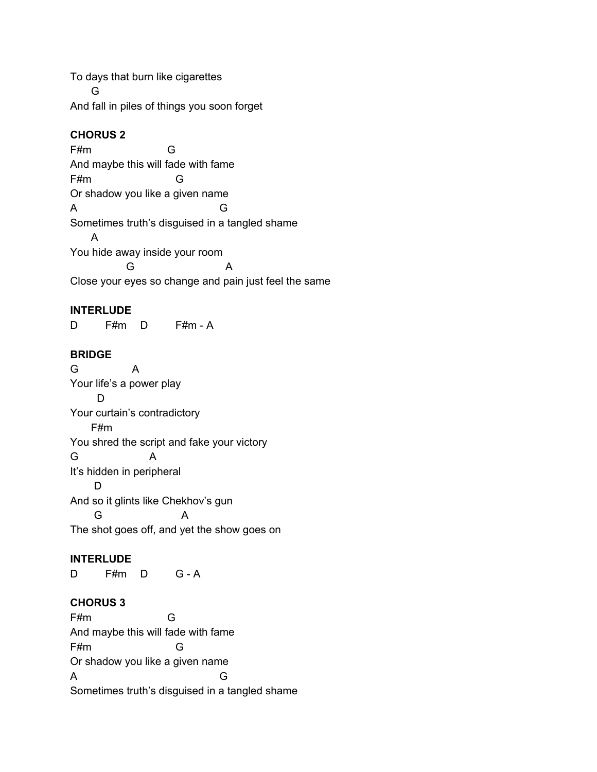To days that burn like cigarettes G And fall in piles of things you soon forget

## **CHORUS 2**

F#m G And maybe this will fade with fame F#m G Or shadow you like a given name A G Sometimes truth's disguised in a tangled shame A You hide away inside your room G A Close your eyes so change and pain just feel the same

#### **INTERLUDE**

D F#m D F#m - A

### **BRIDGE**

G A Your life's a power play D Your curtain's contradictory F#m You shred the script and fake your victory G A It's hidden in peripheral D And so it glints like Chekhov's gun G A The shot goes off, and yet the show goes on

### **INTERLUDE**

D F#m D G - A

### **CHORUS 3**

F#m G And maybe this will fade with fame F#m G Or shadow you like a given name A G Sometimes truth's disguised in a tangled shame